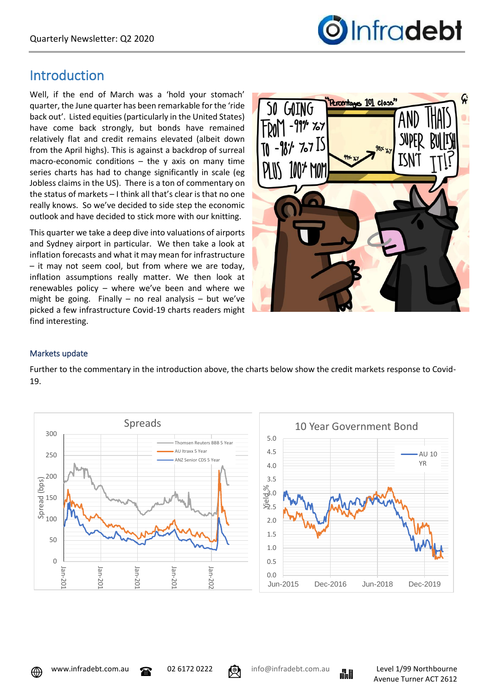

# Introduction

Well, if the end of March was a 'hold your stomach' quarter, the June quarter has been remarkable for the 'ride back out'. Listed equities (particularly in the United States) have come back strongly, but bonds have remained relatively flat and credit remains elevated (albeit down from the April highs). This is against a backdrop of surreal macro-economic conditions  $-$  the y axis on many time series charts has had to change significantly in scale (eg Jobless claims in the US). There is a ton of commentary on the status of markets – I think all that's clear is that no one really knows. So we've decided to side step the economic outlook and have decided to stick more with our knitting.

This quarter we take a deep dive into valuations of airports and Sydney airport in particular. We then take a look at inflation forecasts and what it may mean for infrastructure – it may not seem cool, but from where we are today, inflation assumptions really matter. We then look at renewables policy – where we've been and where we might be going. Finally – no real analysis – but we've picked a few infrastructure Covid-19 charts readers might find interesting.



## Markets update

Further to the commentary in the introduction above, the charts below show the credit markets response to Covid-19.





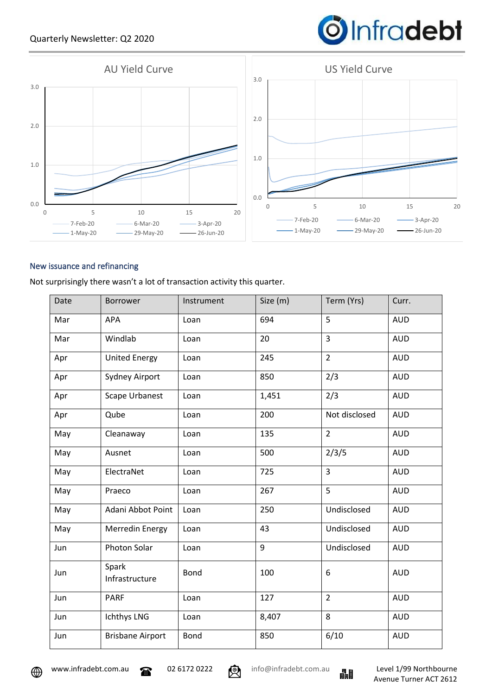## Quarterly Newsletter: Q2 2020

# **O**Infradebt



#### New issuance and refinancing

Not surprisingly there wasn't a lot of transaction activity this quarter.

| Date | Borrower                | Instrument  | Size (m) | Term (Yrs)     | Curr.      |
|------|-------------------------|-------------|----------|----------------|------------|
| Mar  | <b>APA</b>              | Loan        | 694      | 5              | <b>AUD</b> |
| Mar  | Windlab                 | Loan        | 20       | 3              | <b>AUD</b> |
| Apr  | <b>United Energy</b>    | Loan        | 245      | $\overline{2}$ | <b>AUD</b> |
| Apr  | Sydney Airport          | Loan        | 850      | 2/3            | <b>AUD</b> |
| Apr  | <b>Scape Urbanest</b>   | Loan        | 1,451    | 2/3            | <b>AUD</b> |
| Apr  | Qube                    | Loan        | 200      | Not disclosed  | <b>AUD</b> |
| May  | Cleanaway               | Loan        | 135      | $\overline{2}$ | <b>AUD</b> |
| May  | Ausnet                  | Loan        | 500      | 2/3/5          | <b>AUD</b> |
| May  | ElectraNet              | Loan        | 725      | 3              | <b>AUD</b> |
| May  | Praeco                  | Loan        | 267      | 5              | <b>AUD</b> |
| May  | Adani Abbot Point       | Loan        | 250      | Undisclosed    | <b>AUD</b> |
| May  | Merredin Energy         | Loan        | 43       | Undisclosed    | <b>AUD</b> |
| Jun  | Photon Solar            | Loan        | 9        | Undisclosed    | <b>AUD</b> |
| Jun  | Spark<br>Infrastructure | <b>Bond</b> | 100      | 6              | <b>AUD</b> |
| Jun  | <b>PARF</b>             | Loan        | 127      | $\overline{2}$ | <b>AUD</b> |
| Jun  | Ichthys LNG             | Loan        | 8,407    | 8              | <b>AUD</b> |
| Jun  | <b>Brisbane Airport</b> | <b>Bond</b> | 850      | 6/10           | <b>AUD</b> |



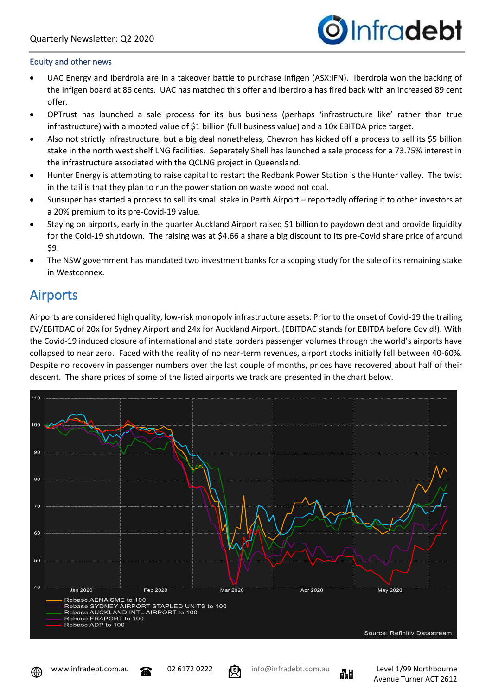

#### Equity and other news

- UAC Energy and Iberdrola are in a takeover battle to purchase Infigen (ASX:IFN). Iberdrola won the backing of the Infigen board at 86 cents. UAC has matched this offer and Iberdrola has fired back with an increased 89 cent offer.
- OPTrust has launched a sale process for its bus business (perhaps 'infrastructure like' rather than true infrastructure) with a mooted value of \$1 billion (full business value) and a 10x EBITDA price target.
- Also not strictly infrastructure, but a big deal nonetheless, Chevron has kicked off a process to sell its \$5 billion stake in the north west shelf LNG facilities. Separately Shell has launched a sale process for a 73.75% interest in the infrastructure associated with the QCLNG project in Queensland.
- Hunter Energy is attempting to raise capital to restart the Redbank Power Station is the Hunter valley. The twist in the tail is that they plan to run the power station on waste wood not coal.
- Sunsuper has started a process to sell its small stake in Perth Airport reportedly offering it to other investors at a 20% premium to its pre-Covid-19 value.
- Staying on airports, early in the quarter Auckland Airport raised \$1 billion to paydown debt and provide liquidity for the Coid-19 shutdown. The raising was at \$4.66 a share a big discount to its pre-Covid share price of around \$9.
- The NSW government has mandated two investment banks for a scoping study for the sale of its remaining stake in Westconnex.

## Airports

Airports are considered high quality, low-risk monopoly infrastructure assets. Prior to the onset of Covid-19 the trailing EV/EBITDAC of 20x for Sydney Airport and 24x for Auckland Airport. (EBITDAC stands for EBITDA before Covid!). With the Covid-19 induced closure of international and state borders passenger volumes through the world's airports have collapsed to near zero. Faced with the reality of no near-term revenues, airport stocks initially fell between 40-60%. Despite no recovery in passenger numbers over the last couple of months, prices have recovered about half of their descent. The share prices of some of the listed airports we track are presented in the chart below.







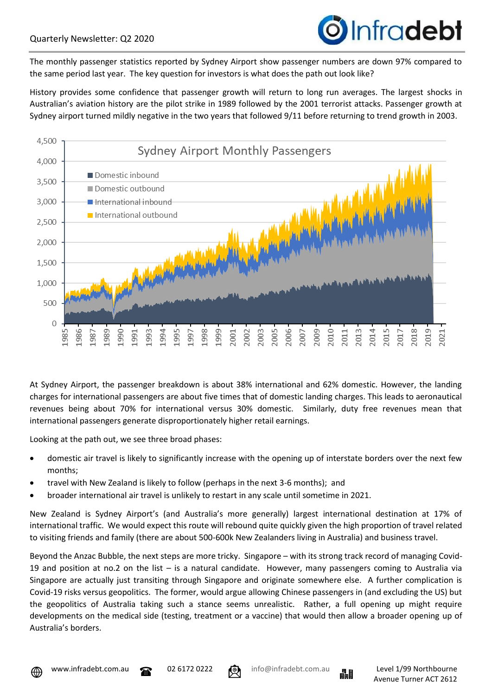

The monthly passenger statistics reported by Sydney Airport show passenger numbers are down 97% compared to the same period last year. The key question for investors is what does the path out look like?

History provides some confidence that passenger growth will return to long run averages. The largest shocks in Australian's aviation history are the pilot strike in 1989 followed by the 2001 terrorist attacks. Passenger growth at Sydney airport turned mildly negative in the two years that followed 9/11 before returning to trend growth in 2003.



At Sydney Airport, the passenger breakdown is about 38% international and 62% domestic. However, the landing charges for international passengers are about five times that of domestic landing charges. This leads to aeronautical revenues being about 70% for international versus 30% domestic. Similarly, duty free revenues mean that international passengers generate disproportionately higher retail earnings.

Looking at the path out, we see three broad phases:

- domestic air travel is likely to significantly increase with the opening up of interstate borders over the next few months;
- travel with New Zealand is likely to follow (perhaps in the next 3-6 months); and
- broader international air travel is unlikely to restart in any scale until sometime in 2021.

New Zealand is Sydney Airport's (and Australia's more generally) largest international destination at 17% of international traffic. We would expect this route will rebound quite quickly given the high proportion of travel related to visiting friends and family (there are about 500-600k New Zealanders living in Australia) and business travel.

Beyond the Anzac Bubble, the next steps are more tricky. Singapore – with its strong track record of managing Covid-19 and position at no.2 on the list – is a natural candidate. However, many passengers coming to Australia via Singapore are actually just transiting through Singapore and originate somewhere else. A further complication is Covid-19 risks versus geopolitics. The former, would argue allowing Chinese passengers in (and excluding the US) but the geopolitics of Australia taking such a stance seems unrealistic. Rather, a full opening up might require developments on the medical side (testing, treatment or a vaccine) that would then allow a broader opening up of Australia's borders.





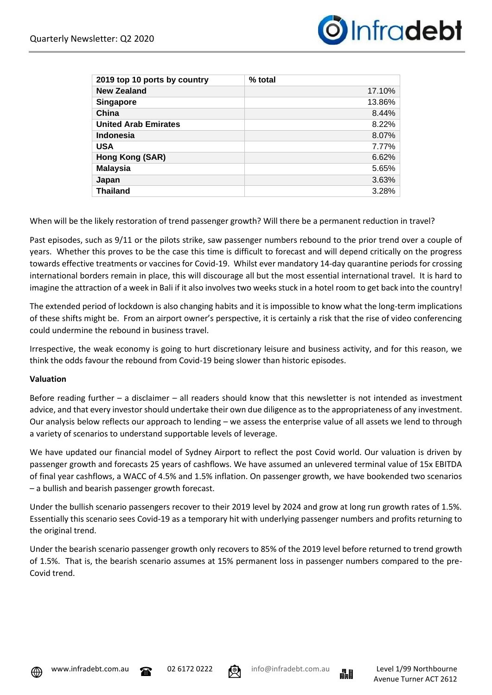

| 2019 top 10 ports by country | $%$ total |
|------------------------------|-----------|
| <b>New Zealand</b>           | 17.10%    |
| <b>Singapore</b>             | 13.86%    |
| China                        | 8.44%     |
| <b>United Arab Emirates</b>  | 8.22%     |
| <b>Indonesia</b>             | 8.07%     |
| <b>USA</b>                   | 7.77%     |
| Hong Kong (SAR)              | 6.62%     |
| <b>Malaysia</b>              | 5.65%     |
| Japan                        | 3.63%     |
| <b>Thailand</b>              | 3.28%     |

When will be the likely restoration of trend passenger growth? Will there be a permanent reduction in travel?

Past episodes, such as 9/11 or the pilots strike, saw passenger numbers rebound to the prior trend over a couple of years. Whether this proves to be the case this time is difficult to forecast and will depend critically on the progress towards effective treatments or vaccines for Covid-19. Whilst ever mandatory 14-day quarantine periods for crossing international borders remain in place, this will discourage all but the most essential international travel. It is hard to imagine the attraction of a week in Bali if it also involves two weeks stuck in a hotel room to get back into the country!

The extended period of lockdown is also changing habits and it is impossible to know what the long-term implications of these shifts might be. From an airport owner's perspective, it is certainly a risk that the rise of video conferencing could undermine the rebound in business travel.

Irrespective, the weak economy is going to hurt discretionary leisure and business activity, and for this reason, we think the odds favour the rebound from Covid-19 being slower than historic episodes.

#### **Valuation**

Before reading further – a disclaimer – all readers should know that this newsletter is not intended as investment advice, and that every investor should undertake their own due diligence as to the appropriateness of any investment. Our analysis below reflects our approach to lending – we assess the enterprise value of all assets we lend to through a variety of scenarios to understand supportable levels of leverage.

We have updated our financial model of Sydney Airport to reflect the post Covid world. Our valuation is driven by passenger growth and forecasts 25 years of cashflows. We have assumed an unlevered terminal value of 15x EBITDA of final year cashflows, a WACC of 4.5% and 1.5% inflation. On passenger growth, we have bookended two scenarios – a bullish and bearish passenger growth forecast.

Under the bullish scenario passengers recover to their 2019 level by 2024 and grow at long run growth rates of 1.5%. Essentially this scenario sees Covid-19 as a temporary hit with underlying passenger numbers and profits returning to the original trend.

Under the bearish scenario passenger growth only recovers to 85% of the 2019 level before returned to trend growth of 1.5%. That is, the bearish scenario assumes at 15% permanent loss in passenger numbers compared to the pre-Covid trend.







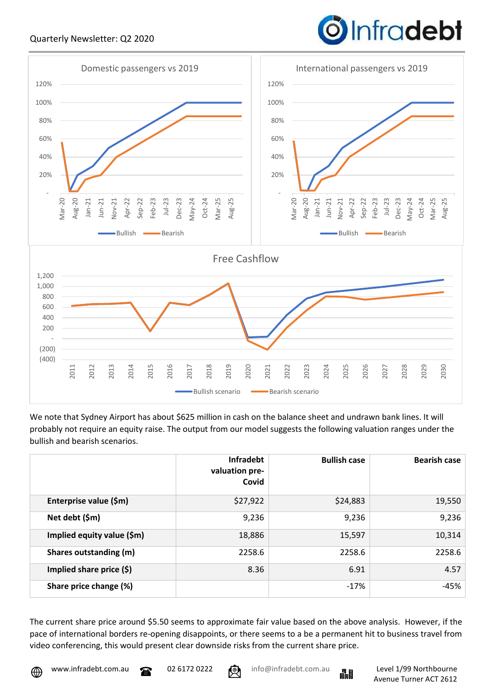### Quarterly Newsletter: Q2 2020

# Infradebt



We note that Sydney Airport has about \$625 million in cash on the balance sheet and undrawn bank lines. It will probably not require an equity raise. The output from our model suggests the following valuation ranges under the bullish and bearish scenarios.

|                            | <b>Infradebt</b><br>valuation pre-<br>Covid | <b>Bullish case</b> | <b>Bearish case</b> |
|----------------------------|---------------------------------------------|---------------------|---------------------|
| Enterprise value (\$m)     | \$27,922                                    | \$24,883            | 19,550              |
| Net debt (\$m)             | 9,236                                       | 9,236               | 9,236               |
| Implied equity value (\$m) | 18,886                                      | 15,597              | 10,314              |
| Shares outstanding (m)     | 2258.6                                      | 2258.6              | 2258.6              |
| Implied share price (\$)   | 8.36                                        | 6.91                | 4.57                |
| Share price change (%)     |                                             | $-17\%$             | $-45%$              |

The current share price around \$5.50 seems to approximate fair value based on the above analysis. However, if the pace of international borders re-opening disappoints, or there seems to a be a permanent hit to business travel from video conferencing, this would present clear downside risks from the current share price.



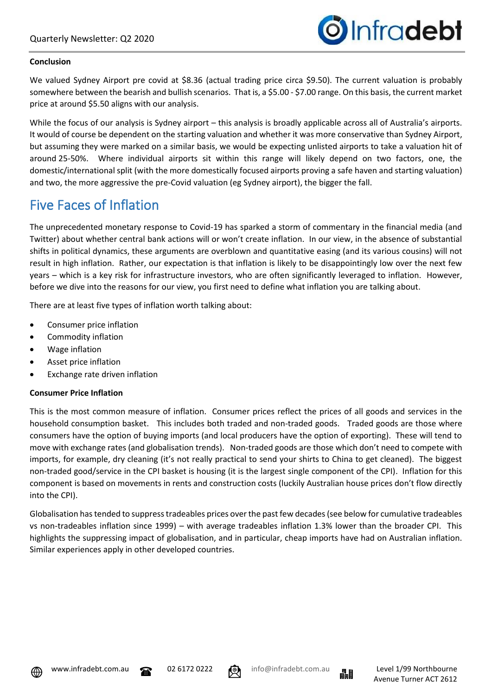

#### **Conclusion**

We valued Sydney Airport pre covid at \$8.36 (actual trading price circa \$9.50). The current valuation is probably somewhere between the bearish and bullish scenarios. That is, a \$5.00 - \$7.00 range. On this basis, the current market price at around \$5.50 aligns with our analysis.

While the focus of our analysis is Sydney airport – this analysis is broadly applicable across all of Australia's airports. It would of course be dependent on the starting valuation and whether it was more conservative than Sydney Airport, but assuming they were marked on a similar basis, we would be expecting unlisted airports to take a valuation hit of around 25-50%. Where individual airports sit within this range will likely depend on two factors, one, the domestic/international split (with the more domestically focused airports proving a safe haven and starting valuation) and two, the more aggressive the pre-Covid valuation (eg Sydney airport), the bigger the fall.

## Five Faces of Inflation

The unprecedented monetary response to Covid-19 has sparked a storm of commentary in the financial media (and Twitter) about whether central bank actions will or won't create inflation. In our view, in the absence of substantial shifts in political dynamics, these arguments are overblown and quantitative easing (and its various cousins) will not result in high inflation. Rather, our expectation is that inflation is likely to be disappointingly low over the next few years – which is a key risk for infrastructure investors, who are often significantly leveraged to inflation. However, before we dive into the reasons for our view, you first need to define what inflation you are talking about.

There are at least five types of inflation worth talking about:

- Consumer price inflation
- Commodity inflation
- Wage inflation
- Asset price inflation
- Exchange rate driven inflation

#### **Consumer Price Inflation**

This is the most common measure of inflation. Consumer prices reflect the prices of all goods and services in the household consumption basket. This includes both traded and non-traded goods. Traded goods are those where consumers have the option of buying imports (and local producers have the option of exporting). These will tend to move with exchange rates (and globalisation trends). Non-traded goods are those which don't need to compete with imports, for example, dry cleaning (it's not really practical to send your shirts to China to get cleaned). The biggest non-traded good/service in the CPI basket is housing (it is the largest single component of the CPI). Inflation for this component is based on movements in rents and construction costs (luckily Australian house prices don't flow directly into the CPI).

Globalisation has tended to suppress tradeables prices over the past few decades (see below for cumulative tradeables vs non-tradeables inflation since 1999) – with average tradeables inflation 1.3% lower than the broader CPI. This highlights the suppressing impact of globalisation, and in particular, cheap imports have had on Australian inflation. Similar experiences apply in other developed countries.





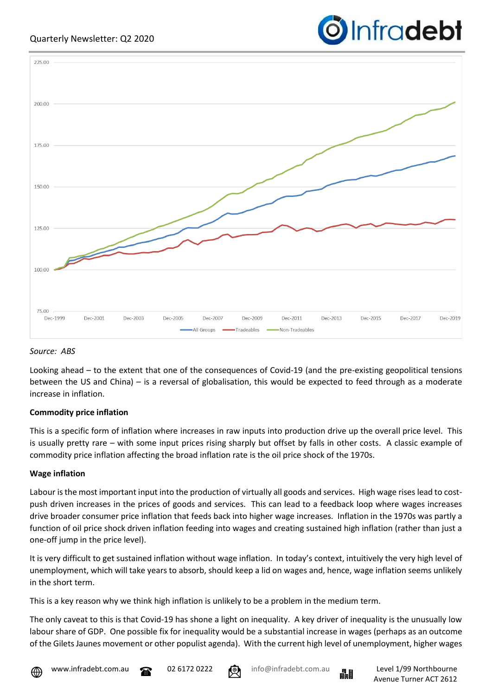



#### *Source: ABS*

Looking ahead – to the extent that one of the consequences of Covid-19 (and the pre-existing geopolitical tensions between the US and China) – is a reversal of globalisation, this would be expected to feed through as a moderate increase in inflation.

#### **Commodity price inflation**

This is a specific form of inflation where increases in raw inputs into production drive up the overall price level. This is usually pretty rare – with some input prices rising sharply but offset by falls in other costs. A classic example of commodity price inflation affecting the broad inflation rate is the oil price shock of the 1970s.

#### **Wage inflation**

Labour is the most important input into the production of virtually all goods and services. High wage rises lead to costpush driven increases in the prices of goods and services. This can lead to a feedback loop where wages increases drive broader consumer price inflation that feeds back into higher wage increases. Inflation in the 1970s was partly a function of oil price shock driven inflation feeding into wages and creating sustained high inflation (rather than just a one-off jump in the price level).

It is very difficult to get sustained inflation without wage inflation. In today's context, intuitively the very high level of unemployment, which will take years to absorb, should keep a lid on wages and, hence, wage inflation seems unlikely in the short term.

This is a key reason why we think high inflation is unlikely to be a problem in the medium term.

The only caveat to this is that Covid-19 has shone a light on inequality. A key driver of inequality is the unusually low labour share of GDP. One possible fix for inequality would be a substantial increase in wages (perhaps as an outcome of the Gilets Jaunes movement or other populist agenda). With the current high level of unemployment, higher wages



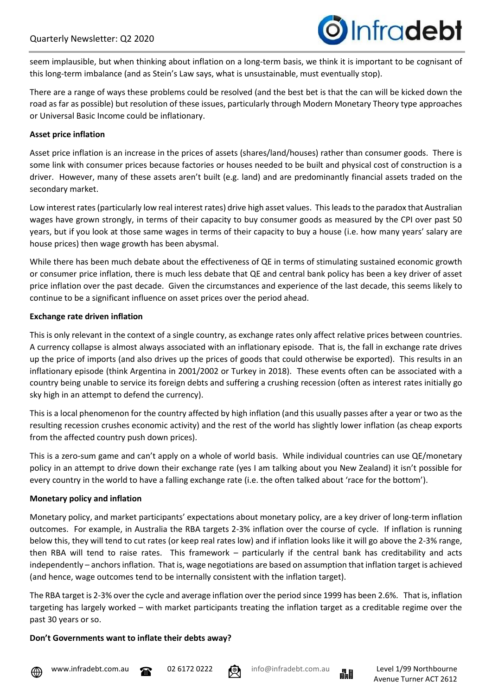

seem implausible, but when thinking about inflation on a long-term basis, we think it is important to be cognisant of this long-term imbalance (and as Stein's Law says, what is unsustainable, must eventually stop).

There are a range of ways these problems could be resolved (and the best bet is that the can will be kicked down the road as far as possible) but resolution of these issues, particularly through Modern Monetary Theory type approaches or Universal Basic Income could be inflationary.

#### **Asset price inflation**

Asset price inflation is an increase in the prices of assets (shares/land/houses) rather than consumer goods. There is some link with consumer prices because factories or houses needed to be built and physical cost of construction is a driver. However, many of these assets aren't built (e.g. land) and are predominantly financial assets traded on the secondary market.

Low interest rates (particularly low real interest rates) drive high asset values. This leads to the paradox that Australian wages have grown strongly, in terms of their capacity to buy consumer goods as measured by the CPI over past 50 years, but if you look at those same wages in terms of their capacity to buy a house (i.e. how many years' salary are house prices) then wage growth has been abysmal.

While there has been much debate about the effectiveness of QE in terms of stimulating sustained economic growth or consumer price inflation, there is much less debate that QE and central bank policy has been a key driver of asset price inflation over the past decade. Given the circumstances and experience of the last decade, this seems likely to continue to be a significant influence on asset prices over the period ahead.

#### **Exchange rate driven inflation**

This is only relevant in the context of a single country, as exchange rates only affect relative prices between countries. A currency collapse is almost always associated with an inflationary episode. That is, the fall in exchange rate drives up the price of imports (and also drives up the prices of goods that could otherwise be exported). This results in an inflationary episode (think Argentina in 2001/2002 or Turkey in 2018). These events often can be associated with a country being unable to service its foreign debts and suffering a crushing recession (often as interest rates initially go sky high in an attempt to defend the currency).

This is a local phenomenon for the country affected by high inflation (and this usually passes after a year or two as the resulting recession crushes economic activity) and the rest of the world has slightly lower inflation (as cheap exports from the affected country push down prices).

This is a zero-sum game and can't apply on a whole of world basis. While individual countries can use QE/monetary policy in an attempt to drive down their exchange rate (yes I am talking about you New Zealand) it isn't possible for every country in the world to have a falling exchange rate (i.e. the often talked about 'race for the bottom').

#### **Monetary policy and inflation**

Monetary policy, and market participants' expectations about monetary policy, are a key driver of long-term inflation outcomes. For example, in Australia the RBA targets 2-3% inflation over the course of cycle. If inflation is running below this, they will tend to cut rates (or keep real rates low) and if inflation looks like it will go above the 2-3% range, then RBA will tend to raise rates. This framework – particularly if the central bank has creditability and acts independently – anchors inflation. That is, wage negotiations are based on assumption that inflation target is achieved (and hence, wage outcomes tend to be internally consistent with the inflation target).

The RBA target is 2-3% over the cycle and average inflation over the period since 1999 has been 2.6%. That is, inflation targeting has largely worked – with market participants treating the inflation target as a creditable regime over the past 30 years or so.

#### **Don't Governments want to inflate their debts away?**



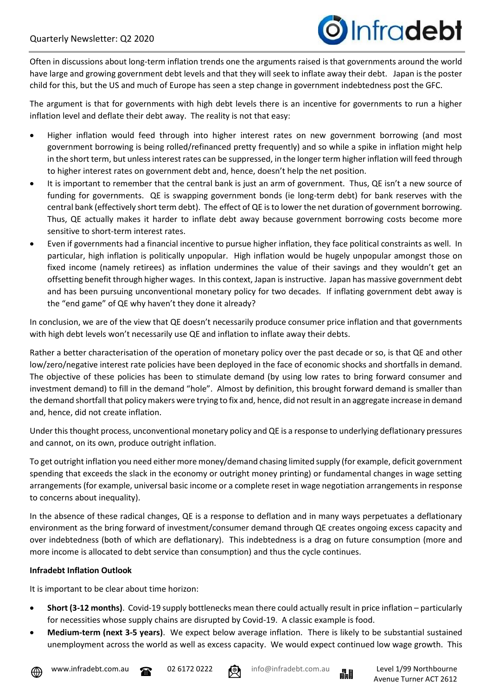

Often in discussions about long-term inflation trends one the arguments raised is that governments around the world have large and growing government debt levels and that they will seek to inflate away their debt. Japan is the poster child for this, but the US and much of Europe has seen a step change in government indebtedness post the GFC.

The argument is that for governments with high debt levels there is an incentive for governments to run a higher inflation level and deflate their debt away. The reality is not that easy:

- Higher inflation would feed through into higher interest rates on new government borrowing (and most government borrowing is being rolled/refinanced pretty frequently) and so while a spike in inflation might help in the short term, but unless interest rates can be suppressed, in the longer term higher inflation will feed through to higher interest rates on government debt and, hence, doesn't help the net position.
- It is important to remember that the central bank is just an arm of government. Thus, QE isn't a new source of funding for governments. QE is swapping government bonds (ie long-term debt) for bank reserves with the central bank (effectively short term debt). The effect of QE is to lower the net duration of government borrowing. Thus, QE actually makes it harder to inflate debt away because government borrowing costs become more sensitive to short-term interest rates.
- Even if governments had a financial incentive to pursue higher inflation, they face political constraints as well. In particular, high inflation is politically unpopular. High inflation would be hugely unpopular amongst those on fixed income (namely retirees) as inflation undermines the value of their savings and they wouldn't get an offsetting benefit through higher wages. In this context, Japan is instructive. Japan has massive government debt and has been pursuing unconventional monetary policy for two decades. If inflating government debt away is the "end game" of QE why haven't they done it already?

In conclusion, we are of the view that QE doesn't necessarily produce consumer price inflation and that governments with high debt levels won't necessarily use QE and inflation to inflate away their debts.

Rather a better characterisation of the operation of monetary policy over the past decade or so, is that QE and other low/zero/negative interest rate policies have been deployed in the face of economic shocks and shortfalls in demand. The objective of these policies has been to stimulate demand (by using low rates to bring forward consumer and investment demand) to fill in the demand "hole". Almost by definition, this brought forward demand is smaller than the demand shortfall that policy makers were trying to fix and, hence, did not result in an aggregate increase in demand and, hence, did not create inflation.

Under this thought process, unconventional monetary policy and QE is a response to underlying deflationary pressures and cannot, on its own, produce outright inflation.

To get outright inflation you need either more money/demand chasing limited supply (for example, deficit government spending that exceeds the slack in the economy or outright money printing) or fundamental changes in wage setting arrangements (for example, universal basic income or a complete reset in wage negotiation arrangements in response to concerns about inequality).

In the absence of these radical changes, QE is a response to deflation and in many ways perpetuates a deflationary environment as the bring forward of investment/consumer demand through QE creates ongoing excess capacity and over indebtedness (both of which are deflationary). This indebtedness is a drag on future consumption (more and more income is allocated to debt service than consumption) and thus the cycle continues.

#### **Infradebt Inflation Outlook**

It is important to be clear about time horizon:

- **Short (3-12 months)**. Covid-19 supply bottlenecks mean there could actually result in price inflation particularly for necessities whose supply chains are disrupted by Covid-19. A classic example is food.
- **Medium-term (next 3-5 years)**. We expect below average inflation. There is likely to be substantial sustained unemployment across the world as well as excess capacity. We would expect continued low wage growth. This



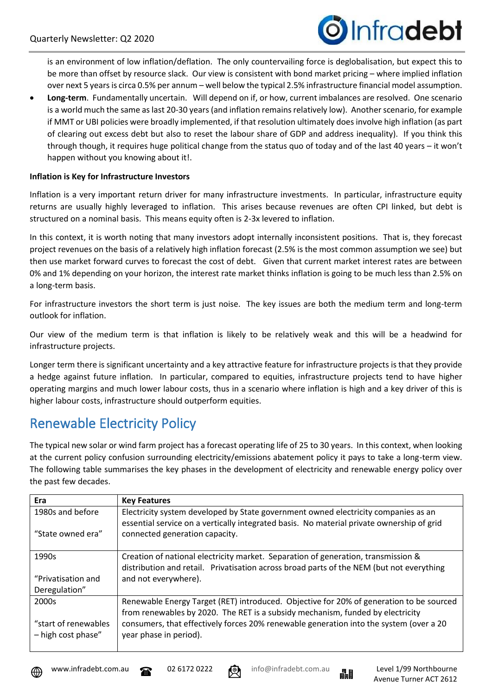

is an environment of low inflation/deflation. The only countervailing force is deglobalisation, but expect this to be more than offset by resource slack. Our view is consistent with bond market pricing – where implied inflation over next 5 years is circa 0.5% per annum – well below the typical 2.5% infrastructure financial model assumption.

• **Long-term**. Fundamentally uncertain. Will depend on if, or how, current imbalances are resolved. One scenario is a world much the same as last 20-30 years (and inflation remains relatively low). Another scenario, for example if MMT or UBI policies were broadly implemented, if that resolution ultimately does involve high inflation (as part of clearing out excess debt but also to reset the labour share of GDP and address inequality). If you think this through though, it requires huge political change from the status quo of today and of the last 40 years – it won't happen without you knowing about it!.

#### **Inflation is Key for Infrastructure Investors**

Inflation is a very important return driver for many infrastructure investments. In particular, infrastructure equity returns are usually highly leveraged to inflation. This arises because revenues are often CPI linked, but debt is structured on a nominal basis. This means equity often is 2-3x levered to inflation.

In this context, it is worth noting that many investors adopt internally inconsistent positions. That is, they forecast project revenues on the basis of a relatively high inflation forecast (2.5% is the most common assumption we see) but then use market forward curves to forecast the cost of debt. Given that current market interest rates are between 0% and 1% depending on your horizon, the interest rate market thinks inflation is going to be much less than 2.5% on a long-term basis.

For infrastructure investors the short term is just noise. The key issues are both the medium term and long-term outlook for inflation.

Our view of the medium term is that inflation is likely to be relatively weak and this will be a headwind for infrastructure projects.

Longer term there is significant uncertainty and a key attractive feature for infrastructure projects is that they provide a hedge against future inflation. In particular, compared to equities, infrastructure projects tend to have higher operating margins and much lower labour costs, thus in a scenario where inflation is high and a key driver of this is higher labour costs, infrastructure should outperform equities.

## Renewable Electricity Policy

The typical new solar or wind farm project has a forecast operating life of 25 to 30 years. In this context, when looking at the current policy confusion surrounding electricity/emissions abatement policy it pays to take a long-term view. The following table summarises the key phases in the development of electricity and renewable energy policy over the past few decades.

| Era                                        | <b>Key Features</b>                                                                                                                                                             |
|--------------------------------------------|---------------------------------------------------------------------------------------------------------------------------------------------------------------------------------|
| 1980s and before                           | Electricity system developed by State government owned electricity companies as an<br>essential service on a vertically integrated basis. No material private ownership of grid |
| "State owned era"                          | connected generation capacity.                                                                                                                                                  |
| 1990s                                      | Creation of national electricity market. Separation of generation, transmission &<br>distribution and retail. Privatisation across broad parts of the NEM (but not everything   |
| "Privatisation and                         | and not everywhere).                                                                                                                                                            |
| Deregulation"                              |                                                                                                                                                                                 |
| 2000s                                      | Renewable Energy Target (RET) introduced. Objective for 20% of generation to be sourced<br>from renewables by 2020. The RET is a subsidy mechanism, funded by electricity       |
| "start of renewables<br>- high cost phase" | consumers, that effectively forces 20% renewable generation into the system (over a 20<br>year phase in period).                                                                |



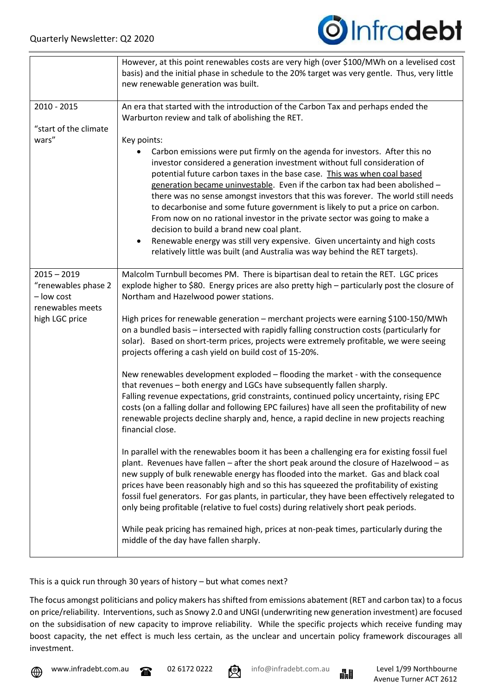

|                                                    | However, at this point renewables costs are very high (over \$100/MWh on a levelised cost<br>basis) and the initial phase in schedule to the 20% target was very gentle. Thus, very little<br>new renewable generation was built.                                                                                                                                                                                                                                                                                                                                                                                                                                                                                                                                                                 |
|----------------------------------------------------|---------------------------------------------------------------------------------------------------------------------------------------------------------------------------------------------------------------------------------------------------------------------------------------------------------------------------------------------------------------------------------------------------------------------------------------------------------------------------------------------------------------------------------------------------------------------------------------------------------------------------------------------------------------------------------------------------------------------------------------------------------------------------------------------------|
| 2010 - 2015                                        | An era that started with the introduction of the Carbon Tax and perhaps ended the<br>Warburton review and talk of abolishing the RET.                                                                                                                                                                                                                                                                                                                                                                                                                                                                                                                                                                                                                                                             |
| "start of the climate<br>wars"                     | Key points:<br>Carbon emissions were put firmly on the agenda for investors. After this no<br>investor considered a generation investment without full consideration of<br>potential future carbon taxes in the base case. This was when coal based<br>generation became uninvestable. Even if the carbon tax had been abolished -<br>there was no sense amongst investors that this was forever. The world still needs<br>to decarbonise and some future government is likely to put a price on carbon.<br>From now on no rational investor in the private sector was going to make a<br>decision to build a brand new coal plant.<br>Renewable energy was still very expensive. Given uncertainty and high costs<br>relatively little was built (and Australia was way behind the RET targets). |
| $2015 - 2019$<br>"renewables phase 2<br>- low cost | Malcolm Turnbull becomes PM. There is bipartisan deal to retain the RET. LGC prices<br>explode higher to \$80. Energy prices are also pretty high - particularly post the closure of<br>Northam and Hazelwood power stations.                                                                                                                                                                                                                                                                                                                                                                                                                                                                                                                                                                     |
| renewables meets<br>high LGC price                 | High prices for renewable generation - merchant projects were earning \$100-150/MWh<br>on a bundled basis - intersected with rapidly falling construction costs (particularly for<br>solar). Based on short-term prices, projects were extremely profitable, we were seeing<br>projects offering a cash yield on build cost of 15-20%.                                                                                                                                                                                                                                                                                                                                                                                                                                                            |
|                                                    | New renewables development exploded - flooding the market - with the consequence<br>that revenues - both energy and LGCs have subsequently fallen sharply.<br>Falling revenue expectations, grid constraints, continued policy uncertainty, rising EPC<br>costs (on a falling dollar and following EPC failures) have all seen the profitability of new<br>renewable projects decline sharply and, hence, a rapid decline in new projects reaching<br>financial close.                                                                                                                                                                                                                                                                                                                            |
|                                                    | In parallel with the renewables boom it has been a challenging era for existing fossil fuel<br>plant. Revenues have fallen - after the short peak around the closure of Hazelwood - as<br>new supply of bulk renewable energy has flooded into the market. Gas and black coal<br>prices have been reasonably high and so this has squeezed the profitability of existing<br>fossil fuel generators. For gas plants, in particular, they have been effectively relegated to<br>only being profitable (relative to fuel costs) during relatively short peak periods.                                                                                                                                                                                                                                |
|                                                    | While peak pricing has remained high, prices at non-peak times, particularly during the<br>middle of the day have fallen sharply.                                                                                                                                                                                                                                                                                                                                                                                                                                                                                                                                                                                                                                                                 |

This is a quick run through 30 years of history – but what comes next?

The focus amongst politicians and policy makers has shifted from emissions abatement (RET and carbon tax) to a focus on price/reliability. Interventions, such as Snowy 2.0 and UNGI (underwriting new generation investment) are focused on the subsidisation of new capacity to improve reliability. While the specific projects which receive funding may boost capacity, the net effect is much less certain, as the unclear and uncertain policy framework discourages all investment.





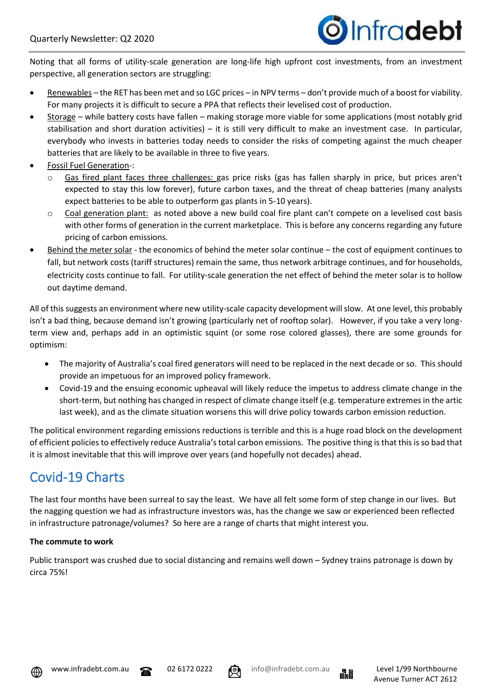

Noting that all forms of utility-scale generation are long-life high upfront cost investments, from an investment perspective, all generation sectors are struggling:

- Renewables the RET has been met and so LGC prices in NPV terms don't provide much of a boost for viability. For many projects it is difficult to secure a PPA that reflects their levelised cost of production.
- Storage while battery costs have fallen making storage more viable for some applications (most notably grid stabilisation and short duration activities) – it is still very difficult to make an investment case. In particular, everybody who invests in batteries today needs to consider the risks of competing against the much cheaper batteries that are likely to be available in three to five years.
- Fossil Fuel Generation-:
	- o Gas fired plant faces three challenges: gas price risks (gas has fallen sharply in price, but prices aren't expected to stay this low forever), future carbon taxes, and the threat of cheap batteries (many analysts expect batteries to be able to outperform gas plants in 5-10 years).
	- $\circ$  Coal generation plant: as noted above a new build coal fire plant can't compete on a levelised cost basis with other forms of generation in the current marketplace. This is before any concerns regarding any future pricing of carbon emissions.
- Behind the meter solar the economics of behind the meter solar continue the cost of equipment continues to fall, but network costs (tariff structures) remain the same, thus network arbitrage continues, and for households, electricity costs continue to fall. For utility-scale generation the net effect of behind the meter solar is to hollow out daytime demand.

All of this suggests an environment where new utility-scale capacity development will slow. At one level, this probably isn't a bad thing, because demand isn't growing (particularly net of rooftop solar). However, if you take a very longterm view and, perhaps add in an optimistic squint (or some rose colored glasses), there are some grounds for optimism:

- The majority of Australia's coal fired generators will need to be replaced in the next decade or so. This should provide an impetuous for an improved policy framework.
- Covid-19 and the ensuing economic upheaval will likely reduce the impetus to address climate change in the short-term, but nothing has changed in respect of climate change itself (e.g. temperature extremes in the artic last week), and as the climate situation worsens this will drive policy towards carbon emission reduction.

The political environment regarding emissions reductions is terrible and this is a huge road block on the development of efficient policies to effectively reduce Australia's total carbon emissions. The positive thing is that this is so bad that it is almost inevitable that this will improve over years (and hopefully not decades) ahead.

# Covid-19 Charts

The last four months have been surreal to say the least. We have all felt some form of step change in our lives. But the nagging question we had as infrastructure investors was, has the change we saw or experienced been reflected in infrastructure patronage/volumes? So here are a range of charts that might interest you.

## **The commute to work**

Public transport was crushed due to social distancing and remains well down – Sydney trains patronage is down by circa 75%!





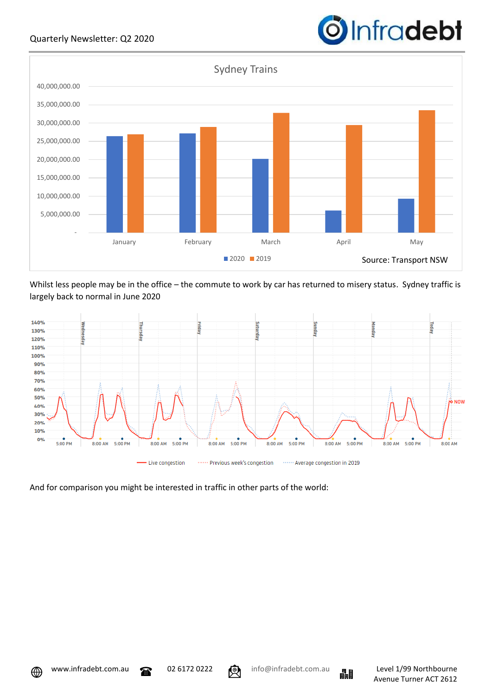

Whilst less people may be in the office – the commute to work by car has returned to misery status. Sydney traffic is largely back to normal in June 2020



And for comparison you might be interested in traffic in other parts of the world:





**O**Infradebt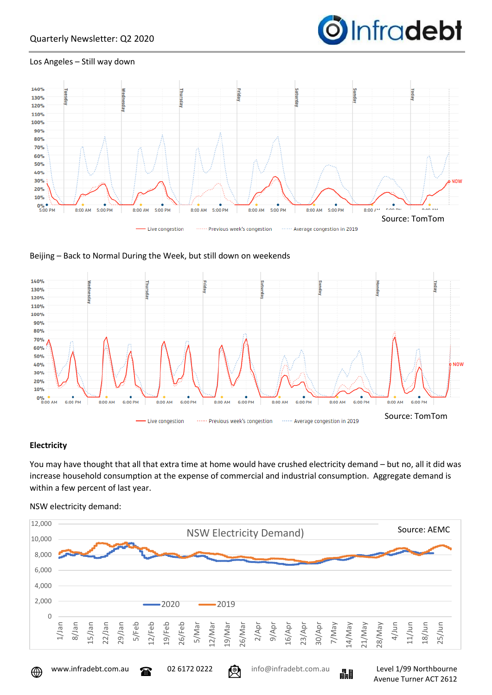

Avenue Turner ACT 2612

#### Los Angeles – Still way down







#### **Electricity**

You may have thought that all that extra time at home would have crushed electricity demand – but no, all it did was increase household consumption at the expense of commercial and industrial consumption. Aggregate demand is within a few percent of last year.

#### NSW electricity demand: